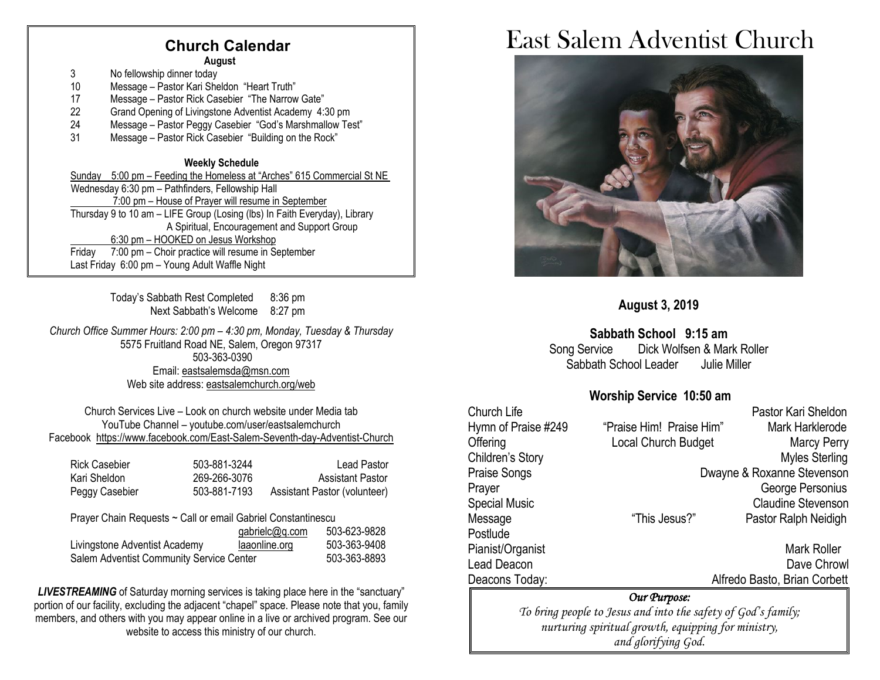#### **Church CalendarAugust**

3 No fellowship dinner today

- 10 Message Pastor Kari Sheldon "Heart Truth"
- 17 Message Pastor Rick Casebier "The Narrow Gate"<br>22 Grand Opening of Livingstone Adventist Academy 4:
- 22 Grand Opening of Livingstone Adventist Academy 4:30 pm<br>24 Message Pastor Peggy Casebier "God's Marshmallow Te
- Message Pastor Peggy Casebier "God's Marshmallow Test"
- 31 Message Pastor Rick Casebier "Building on the Rock"

#### **Weekly Schedule**

Sunday 5:00 pm – Feeding the Homeless at "Arches" 615 Commercial St NE Wednesday 6:30 pm – Pathfinders, Fellowship Hall 7:00 pm – House of Prayer will resume in September Thursday 9 to 10 am – LIFE Group (Losing (lbs) In Faith Everyday), Library A Spiritual, Encouragement and Support Group 6:30 pm – HOOKED on Jesus Workshop Friday 7:00 pm – Choir practice will resume in September Last Friday 6:00 pm – Young Adult Waffle Night

> Today's Sabbath Rest Completed 8:36 pm Next Sabbath's Welcome 8:27 pm

*Church Office Summer Hours: 2:00 pm – 4:30 pm, Monday, Tuesday & Thursday* 5575 Fruitland Road NE, Salem, Oregon 97317 503-363-0390 Email: [eastsalemsda@msn.com](mailto:eastsalemsda@msn.com) Web site address[: eastsalemchurch.org/](http://eastsalem.adventists.info/)web

Church Services Live – Look on church website under Media tab YouTube Channel – youtube.com/user/eastsalemchurch Facebook [https://www.facebook.com/East-Salem-Seventh-day-Adventist-Church](https://www.facebook.com/East-Salem-Seventh-day-Adventist-Church-111402832212994/?fref=ts)

| <b>Rick Casebier</b> | 503-881-3244 | Lead Pastor                  |
|----------------------|--------------|------------------------------|
| Kari Sheldon         | 269-266-3076 | <b>Assistant Pastor</b>      |
| Peggy Casebier       | 503-881-7193 | Assistant Pastor (volunteer) |

Prayer Chain Requests ~ Call or email Gabriel Constantinescu

|                                          | gabrielc@q.com | 503-623-9828 |
|------------------------------------------|----------------|--------------|
| Livingstone Adventist Academy            | laaonline.org  | 503-363-9408 |
| Salem Adventist Community Service Center |                | 503-363-8893 |

**LIVESTREAMING** of Saturday morning services is taking place here in the "sanctuary" portion of our facility, excluding the adjacent "chapel" space. Please note that you, family members, and others with you may appear online in a live or archived program. See our website to access this ministry of our church.

# East Salem Adventist Church



#### **August 3, 2019**

#### **Sabbath School 9:15 am**

Song Service Dick Wolfsen & Mark Roller Sabbath School Leader Julie Miller

#### **Worship Service 10:50 am**

| Church Life                                                   |                                             | Pastor Kari Sheldon          |  |  |
|---------------------------------------------------------------|---------------------------------------------|------------------------------|--|--|
| Hymn of Praise #249                                           | "Praise Him! Praise Him"<br>Mark Harklerode |                              |  |  |
| Offering                                                      | Local Church Budget<br><b>Marcy Perry</b>   |                              |  |  |
| Children's Story                                              |                                             | <b>Myles Sterling</b>        |  |  |
| Praise Songs                                                  | Dwayne & Roxanne Stevenson                  |                              |  |  |
| Prayer                                                        |                                             | George Personius             |  |  |
| <b>Special Music</b>                                          |                                             | <b>Claudine Stevenson</b>    |  |  |
| Message                                                       | "This Jesus?"                               | Pastor Ralph Neidigh         |  |  |
| Postlude                                                      |                                             |                              |  |  |
| Pianist/Organist                                              |                                             | Mark Roller                  |  |  |
| Lead Deacon                                                   |                                             | Dave Chrowl                  |  |  |
| Deacons Today:                                                |                                             | Alfredo Basto, Brian Corbett |  |  |
| Our Purpose:                                                  |                                             |                              |  |  |
| To bring people to Jesus and into the safety of God's family; |                                             |                              |  |  |
| nurturing spiritual growth, equipping for ministry,           |                                             |                              |  |  |

*and glorifying God.*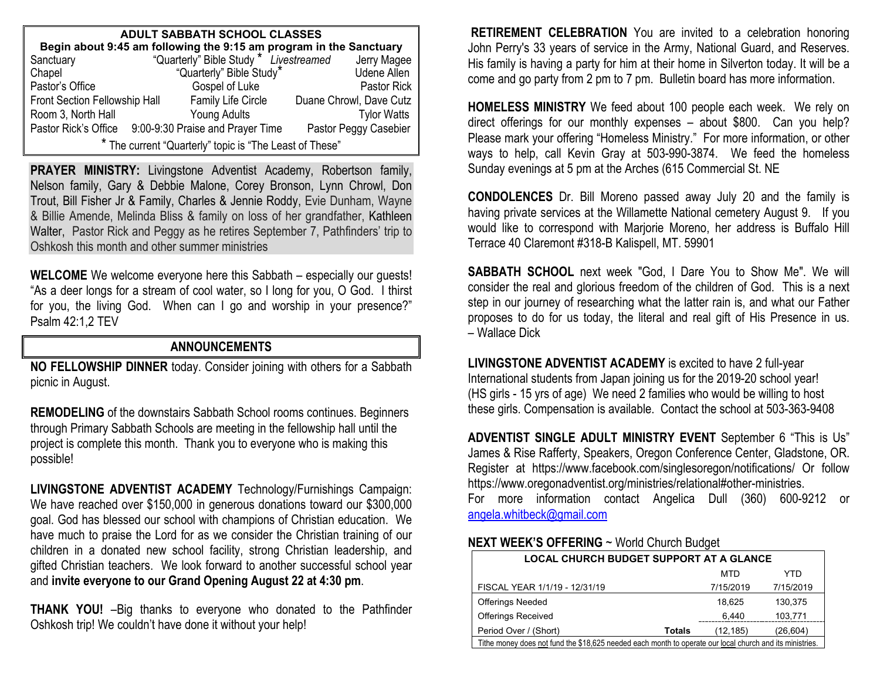| <b>ADULT SABBATH SCHOOL CLASSES</b>                                |  |                                        |  |                         |
|--------------------------------------------------------------------|--|----------------------------------------|--|-------------------------|
| Begin about 9:45 am following the 9:15 am program in the Sanctuary |  |                                        |  |                         |
| Sanctuary                                                          |  | "Quarterly" Bible Study * Livestreamed |  | Jerry Magee             |
| Chapel                                                             |  | "Quarterly" Bible Study*               |  | <b>Udene Allen</b>      |
| Pastor's Office                                                    |  | Gospel of Luke                         |  | Pastor Rick             |
| Front Section Fellowship Hall                                      |  | Family Life Circle                     |  | Duane Chrowl, Dave Cutz |
| Room 3, North Hall                                                 |  | Young Adults                           |  | <b>Tylor Watts</b>      |
| Pastor Rick's Office                                               |  | 9:00-9:30 Praise and Prayer Time       |  | Pastor Peggy Casebier   |
| " The current "Quarterly" topic is "The Least of These"            |  |                                        |  |                         |

**PRAYER MINISTRY:** Livingstone Adventist Academy, Robertson family, Nelson family, Gary & Debbie Malone, Corey Bronson, Lynn Chrowl, Don Trout, Bill Fisher Jr & Family, Charles & Jennie Roddy, Evie Dunham, Wayne & Billie Amende, Melinda Bliss & family on loss of her grandfather, Kathleen Walter, Pastor Rick and Peggy as he retires September 7, Pathfinders' trip to Oshkosh this month and other summer ministries

**WELCOME** We welcome everyone here this Sabbath – especially our guests! "As a deer longs for a stream of cool water, so I long for you, O God. I thirst for you, the living God. When can I go and worship in your presence?" Psalm 42:1,2 TEV

#### **ANNOUNCEMENTS**

**NO FELLOWSHIP DINNER** today. Consider joining with others for a Sabbath picnic in August.

**REMODELING** of the downstairs Sabbath School rooms continues. Beginners through Primary Sabbath Schools are meeting in the fellowship hall until the project is complete this month. Thank you to everyone who is making this possible!

**LIVINGSTONE ADVENTIST ACADEMY** Technology/Furnishings Campaign: We have reached over \$150,000 in generous donations toward our \$300,000 goal. God has blessed our school with champions of Christian education. We have much to praise the Lord for as we consider the Christian training of our children in a donated new school facility, strong Christian leadership, and gifted Christian teachers. We look forward to another successful school year and **invite everyone to our Grand Opening August 22 at 4:30 pm**.

**THANK YOU!** –Big thanks to everyone who donated to the Pathfinder Oshkosh trip! We couldn't have done it without your help!

**RETIREMENT CELEBRATION** You are invited to a celebration honoring John Perry's 33 years of service in the Army, National Guard, and Reserves. His family is having a party for him at their home in Silverton today. It will be a come and go party from 2 pm to 7 pm. Bulletin board has more information.

**HOMELESS MINISTRY** We feed about 100 people each week. We rely on direct offerings for our monthly expenses – about \$800. Can you help? Please mark your offering "Homeless Ministry." For more information, or other ways to help, call Kevin Gray at 503-990-3874. We feed the homeless Sunday evenings at 5 pm at the Arches (615 Commercial St. NE

**CONDOLENCES** Dr. Bill Moreno passed away July 20 and the family is having private services at the Willamette National cemetery August 9. If you would like to correspond with Marjorie Moreno, her address is Buffalo Hill Terrace 40 Claremont #318-B Kalispell, MT. 59901

**SABBATH SCHOOL** next week "God, I Dare You to Show Me". We will consider the real and glorious freedom of the children of God. This is a next step in our journey of researching what the latter rain is, and what our Father proposes to do for us today, the literal and real gift of His Presence in us. – Wallace Dick

**LIVINGSTONE ADVENTIST ACADEMY** is excited to have 2 full-year International students from Japan joining us for the 2019-20 school year! (HS girls - 15 yrs of age) We need 2 families who would be willing to host these girls. Compensation is available. Contact the school at 503-363-9408

**ADVENTIST SINGLE ADULT MINISTRY EVENT** September 6 "This is Us" James & Rise Rafferty, Speakers, Oregon Conference Center, Gladstone, OR. Register at https://www.facebook.com/singlesoregon/notifications/ Or follow https://www.oregonadventist.org/ministries/relational#other-ministries.

For more information contact Angelica Dull (360) 600-9212 or [angela.whitbeck@gmail.com](mailto:angela.whitbeck@gmail.com)

#### **NEXT WEEK'S OFFERING** ~ World Church Budget

| <b>LOCAL CHURCH BUDGET SUPPORT AT A GLANCE</b>                                                           |        |           |           |
|----------------------------------------------------------------------------------------------------------|--------|-----------|-----------|
|                                                                                                          |        | MTD       | YTD       |
| FISCAL YEAR 1/1/19 - 12/31/19                                                                            |        | 7/15/2019 | 7/15/2019 |
| <b>Offerings Needed</b>                                                                                  |        | 18.625    | 130,375   |
| <b>Offerings Received</b>                                                                                |        | 6,440     | 103,771   |
| Period Over / (Short)                                                                                    | Totals | (12.185)  | (26, 604) |
| Tithe money does not fund the \$18,625 needed each month to operate our local church and its ministries. |        |           |           |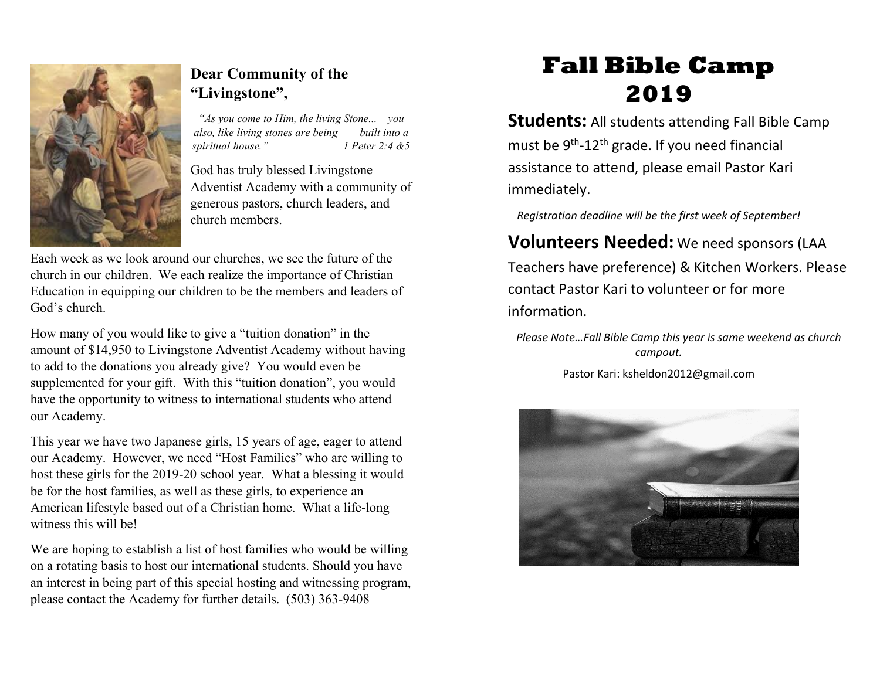

### **Dear Community of the "Livingstone",**

*"As you come to Him, the living Stone... you also, like living stones are being built into a spiritual house." 1 Peter 2:4 &5*

God has truly blessed Livingstone Adventist Academy with a community of generous pastors, church leaders, and church members.

Each week as we look around our churches, we see the future of the church in our children. We each realize the importance of Christian Education in equipping our children to be the members and leaders of God's church.

How many of you would like to give a "tuition donation" in the amount of \$14,950 to Livingstone Adventist Academy without having to add to the donations you already give? You would even be supplemented for your gift. With this "tuition donation", you would have the opportunity to witness to international students who attend our Academy.

This year we have two Japanese girls, 15 years of age, eager to attend our Academy. However, we need "Host Families" who are willing to host these girls for the 2019-20 school year. What a blessing it would be for the host families, as well as these girls, to experience an American lifestyle based out of a Christian home. What a life-long witness this will be!

We are hoping to establish a list of host families who would be willing on a rotating basis to host our international students. Should you have an interest in being part of this special hosting and witnessing program, please contact the Academy for further details. (503) 363-9408

# **Fall Bible Camp 2019**

**Students:** All students attending Fall Bible Camp must be  $9<sup>th</sup> - 12<sup>th</sup>$  grade. If you need financial assistance to attend, please email Pastor Kari immediately.

*Registration deadline will be the first week of September!*

### **Volunteers Needed:** We need sponsors (LAA

Teachers have preference) & Kitchen Workers. Please contact Pastor Kari to volunteer or for more information.

*Please Note…Fall Bible Camp this year is same weekend as church campout.*

Pastor Kari: ksheldon2012@gmail.com